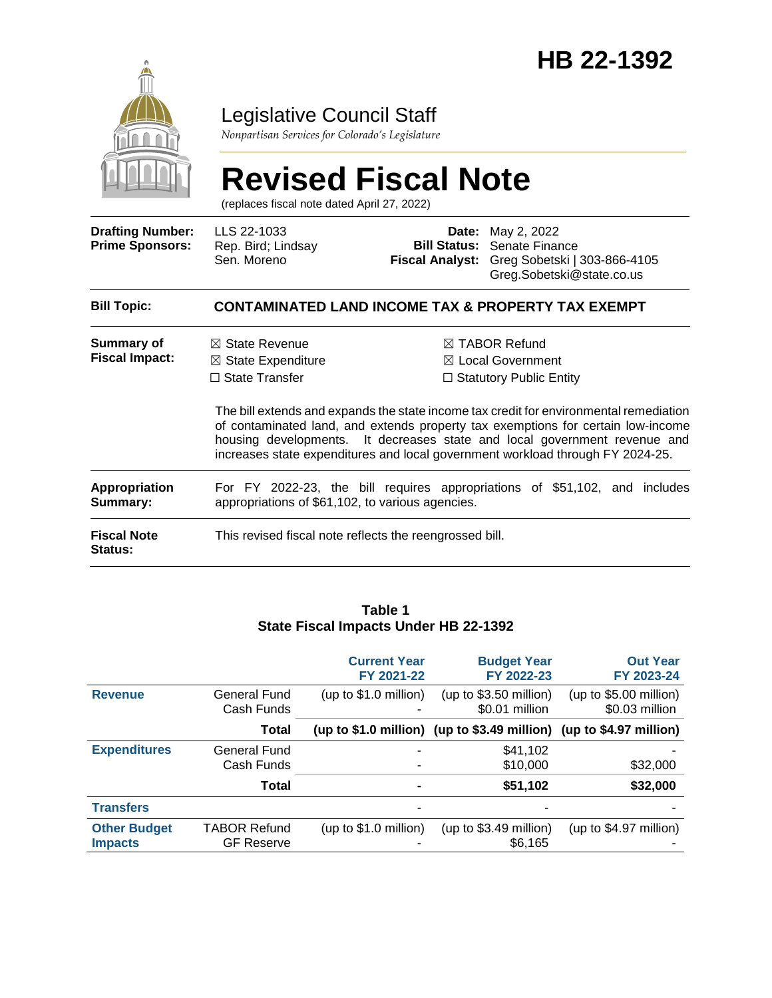

### Legislative Council Staff

*Nonpartisan Services for Colorado's Legislature*

# **Revised Fiscal Note**

(replaces fiscal note dated April 27, 2022)

| <b>Drafting Number:</b><br><b>Prime Sponsors:</b> | LLS 22-1033<br>Rep. Bird; Lindsay<br>Sen. Moreno                                                                                                                                                                                                                                                                                          | <b>Bill Status:</b><br>Fiscal Analyst: | <b>Date:</b> May 2, 2022<br>Senate Finance<br>Greg Sobetski   303-866-4105<br>Greg.Sobetski@state.co.us |  |  |  |
|---------------------------------------------------|-------------------------------------------------------------------------------------------------------------------------------------------------------------------------------------------------------------------------------------------------------------------------------------------------------------------------------------------|----------------------------------------|---------------------------------------------------------------------------------------------------------|--|--|--|
| <b>Bill Topic:</b>                                | <b>CONTAMINATED LAND INCOME TAX &amp; PROPERTY TAX EXEMPT</b>                                                                                                                                                                                                                                                                             |                                        |                                                                                                         |  |  |  |
| Summary of<br><b>Fiscal Impact:</b>               | $\boxtimes$ State Revenue<br>$\boxtimes$ State Expenditure<br>$\Box$ State Transfer                                                                                                                                                                                                                                                       |                                        | $\boxtimes$ TABOR Refund<br>$\boxtimes$ Local Government<br>$\Box$ Statutory Public Entity              |  |  |  |
|                                                   | The bill extends and expands the state income tax credit for environmental remediation<br>of contaminated land, and extends property tax exemptions for certain low-income<br>housing developments. It decreases state and local government revenue and<br>increases state expenditures and local government workload through FY 2024-25. |                                        |                                                                                                         |  |  |  |
| <b>Appropriation</b><br>Summary:                  | For FY 2022-23, the bill requires appropriations of \$51,102, and includes<br>appropriations of \$61,102, to various agencies.                                                                                                                                                                                                            |                                        |                                                                                                         |  |  |  |
| <b>Fiscal Note</b><br><b>Status:</b>              | This revised fiscal note reflects the reengrossed bill.                                                                                                                                                                                                                                                                                   |                                        |                                                                                                         |  |  |  |

#### **Table 1 State Fiscal Impacts Under HB 22-1392**

|                     |                            | <b>Current Year</b><br>FY 2021-22 | <b>Budget Year</b><br>FY 2022-23                                       | <b>Out Year</b><br>FY 2023-24            |
|---------------------|----------------------------|-----------------------------------|------------------------------------------------------------------------|------------------------------------------|
| <b>Revenue</b>      | General Fund<br>Cash Funds | (up to $$1.0$ million)            | (up to $$3.50$ million)<br>\$0.01 million                              | (up to \$5.00 million)<br>\$0.03 million |
|                     | <b>Total</b>               |                                   | (up to $$1.0$ million) (up to $$3.49$ million) (up to $$4.97$ million) |                                          |
| <b>Expenditures</b> | <b>General Fund</b>        |                                   | \$41,102                                                               |                                          |
|                     | Cash Funds                 |                                   | \$10,000                                                               | \$32,000                                 |
|                     | Total                      | $\blacksquare$                    | \$51,102                                                               | \$32,000                                 |
| <b>Transfers</b>    |                            |                                   |                                                                        |                                          |
| <b>Other Budget</b> | <b>TABOR Refund</b>        | (up to $$1.0$ million)            | (up to $$3.49$ million)                                                | (up to $$4.97$ million)                  |
| <b>Impacts</b>      | <b>GF Reserve</b>          |                                   | \$6.165                                                                |                                          |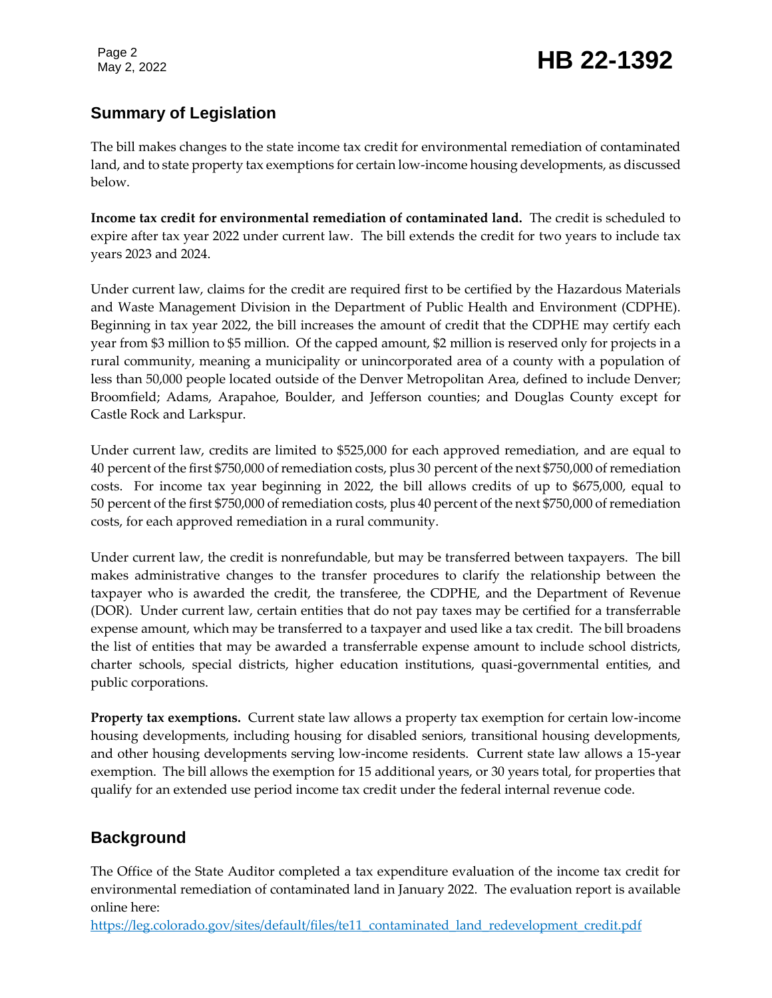### Page 2<br>May 2, 2022 **HB 22-1392**

#### **Summary of Legislation**

The bill makes changes to the state income tax credit for environmental remediation of contaminated land, and to state property tax exemptions for certain low-income housing developments, as discussed below.

**Income tax credit for environmental remediation of contaminated land.** The credit is scheduled to expire after tax year 2022 under current law. The bill extends the credit for two years to include tax years 2023 and 2024.

Under current law, claims for the credit are required first to be certified by the Hazardous Materials and Waste Management Division in the Department of Public Health and Environment (CDPHE). Beginning in tax year 2022, the bill increases the amount of credit that the CDPHE may certify each year from \$3 million to \$5 million. Of the capped amount, \$2 million is reserved only for projects in a rural community, meaning a municipality or unincorporated area of a county with a population of less than 50,000 people located outside of the Denver Metropolitan Area, defined to include Denver; Broomfield; Adams, Arapahoe, Boulder, and Jefferson counties; and Douglas County except for Castle Rock and Larkspur.

Under current law, credits are limited to \$525,000 for each approved remediation, and are equal to 40 percent of the first \$750,000 of remediation costs, plus 30 percent of the next \$750,000 of remediation costs. For income tax year beginning in 2022, the bill allows credits of up to \$675,000, equal to 50 percent of the first \$750,000 of remediation costs, plus 40 percent of the next \$750,000 of remediation costs, for each approved remediation in a rural community.

Under current law, the credit is nonrefundable, but may be transferred between taxpayers. The bill makes administrative changes to the transfer procedures to clarify the relationship between the taxpayer who is awarded the credit, the transferee, the CDPHE, and the Department of Revenue (DOR). Under current law, certain entities that do not pay taxes may be certified for a transferrable expense amount, which may be transferred to a taxpayer and used like a tax credit. The bill broadens the list of entities that may be awarded a transferrable expense amount to include school districts, charter schools, special districts, higher education institutions, quasi-governmental entities, and public corporations.

**Property tax exemptions.** Current state law allows a property tax exemption for certain low-income housing developments, including housing for disabled seniors, transitional housing developments, and other housing developments serving low-income residents. Current state law allows a 15-year exemption. The bill allows the exemption for 15 additional years, or 30 years total, for properties that qualify for an extended use period income tax credit under the federal internal revenue code.

#### **Background**

The Office of the State Auditor completed a tax expenditure evaluation of the income tax credit for environmental remediation of contaminated land in January 2022. The evaluation report is available online here:

[https://leg.colorado.gov/sites/default/files/te11\\_contaminated\\_land\\_redevelopment\\_credit.pdf](https://leg.colorado.gov/sites/default/files/te11_contaminated_land_redevelopment_credit.pdf)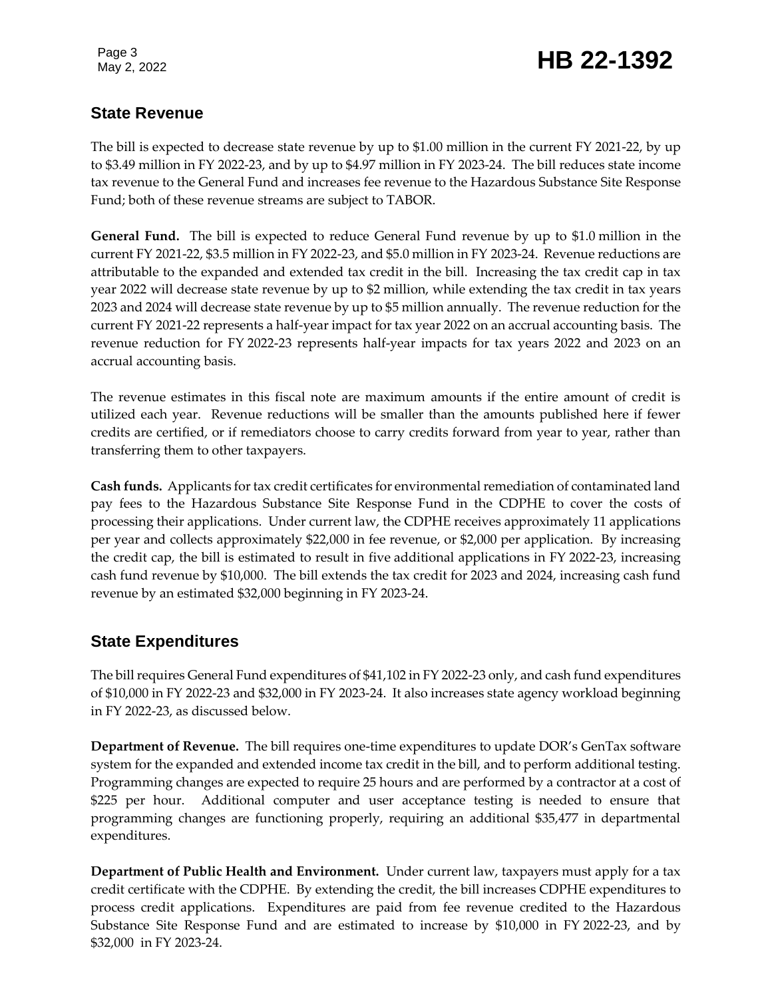## Page 3<br>May 2, 2022 **HB 22-1392**

#### **State Revenue**

The bill is expected to decrease state revenue by up to \$1.00 million in the current FY 2021-22, by up to \$3.49 million in FY 2022-23, and by up to \$4.97 million in FY 2023-24. The bill reduces state income tax revenue to the General Fund and increases fee revenue to the Hazardous Substance Site Response Fund; both of these revenue streams are subject to TABOR.

**General Fund.** The bill is expected to reduce General Fund revenue by up to \$1.0 million in the current FY 2021-22, \$3.5 million in FY 2022-23, and \$5.0 million in FY 2023-24. Revenue reductions are attributable to the expanded and extended tax credit in the bill. Increasing the tax credit cap in tax year 2022 will decrease state revenue by up to \$2 million, while extending the tax credit in tax years 2023 and 2024 will decrease state revenue by up to \$5 million annually. The revenue reduction for the current FY 2021-22 represents a half-year impact for tax year 2022 on an accrual accounting basis. The revenue reduction for FY 2022-23 represents half-year impacts for tax years 2022 and 2023 on an accrual accounting basis.

The revenue estimates in this fiscal note are maximum amounts if the entire amount of credit is utilized each year. Revenue reductions will be smaller than the amounts published here if fewer credits are certified, or if remediators choose to carry credits forward from year to year, rather than transferring them to other taxpayers.

**Cash funds.** Applicants for tax credit certificates for environmental remediation of contaminated land pay fees to the Hazardous Substance Site Response Fund in the CDPHE to cover the costs of processing their applications. Under current law, the CDPHE receives approximately 11 applications per year and collects approximately \$22,000 in fee revenue, or \$2,000 per application. By increasing the credit cap, the bill is estimated to result in five additional applications in FY 2022-23, increasing cash fund revenue by \$10,000. The bill extends the tax credit for 2023 and 2024, increasing cash fund revenue by an estimated \$32,000 beginning in FY 2023-24.

#### **State Expenditures**

The bill requires General Fund expenditures of \$41,102 in FY 2022-23 only, and cash fund expenditures of \$10,000 in FY 2022-23 and \$32,000 in FY 2023-24. It also increases state agency workload beginning in FY 2022-23, as discussed below.

**Department of Revenue.** The bill requires one-time expenditures to update DOR's GenTax software system for the expanded and extended income tax credit in the bill, and to perform additional testing. Programming changes are expected to require 25 hours and are performed by a contractor at a cost of \$225 per hour. Additional computer and user acceptance testing is needed to ensure that programming changes are functioning properly, requiring an additional \$35,477 in departmental expenditures.

**Department of Public Health and Environment.** Under current law, taxpayers must apply for a tax credit certificate with the CDPHE. By extending the credit, the bill increases CDPHE expenditures to process credit applications. Expenditures are paid from fee revenue credited to the Hazardous Substance Site Response Fund and are estimated to increase by \$10,000 in FY 2022-23, and by \$32,000 in FY 2023-24.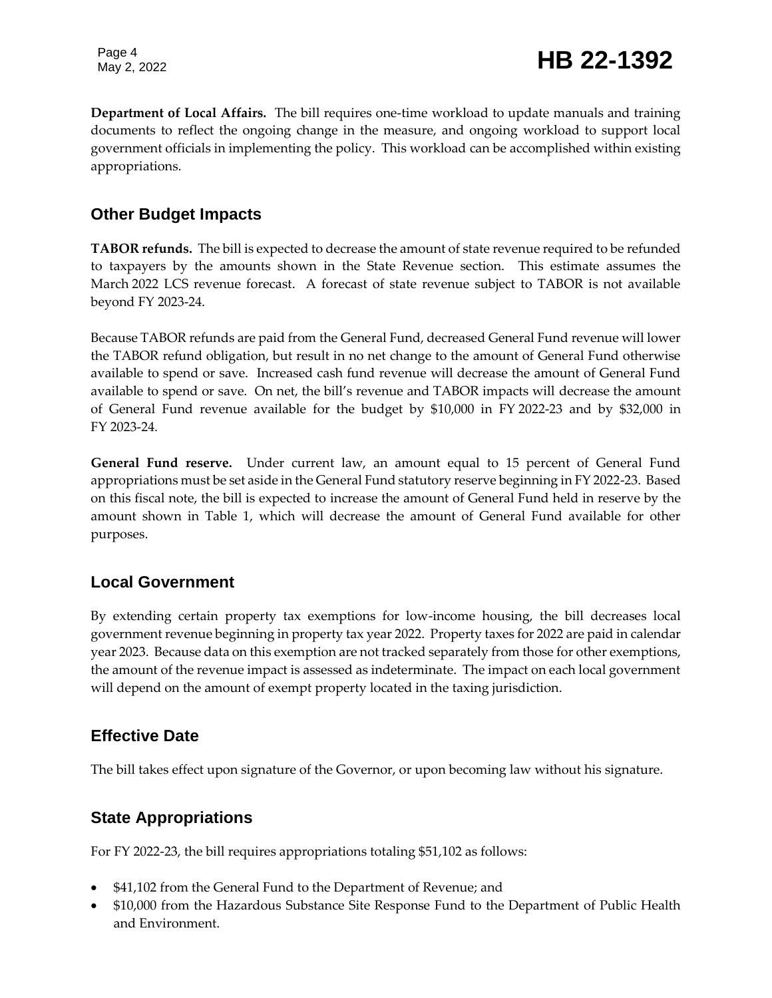**Department of Local Affairs.** The bill requires one-time workload to update manuals and training documents to reflect the ongoing change in the measure, and ongoing workload to support local government officials in implementing the policy. This workload can be accomplished within existing appropriations.

#### **Other Budget Impacts**

**TABOR refunds.** The bill is expected to decrease the amount of state revenue required to be refunded to taxpayers by the amounts shown in the State Revenue section. This estimate assumes the March 2022 LCS revenue forecast. A forecast of state revenue subject to TABOR is not available beyond FY 2023-24.

Because TABOR refunds are paid from the General Fund, decreased General Fund revenue will lower the TABOR refund obligation, but result in no net change to the amount of General Fund otherwise available to spend or save. Increased cash fund revenue will decrease the amount of General Fund available to spend or save. On net, the bill's revenue and TABOR impacts will decrease the amount of General Fund revenue available for the budget by \$10,000 in FY 2022-23 and by \$32,000 in FY 2023-24.

**General Fund reserve.** Under current law, an amount equal to 15 percent of General Fund appropriations must be set aside in the General Fund statutory reserve beginning in FY 2022-23. Based on this fiscal note, the bill is expected to increase the amount of General Fund held in reserve by the amount shown in Table 1, which will decrease the amount of General Fund available for other purposes.

#### **Local Government**

By extending certain property tax exemptions for low-income housing, the bill decreases local government revenue beginning in property tax year 2022. Property taxes for 2022 are paid in calendar year 2023. Because data on this exemption are not tracked separately from those for other exemptions, the amount of the revenue impact is assessed as indeterminate. The impact on each local government will depend on the amount of exempt property located in the taxing jurisdiction.

#### **Effective Date**

The bill takes effect upon signature of the Governor, or upon becoming law without his signature.

#### **State Appropriations**

For FY 2022-23, the bill requires appropriations totaling \$51,102 as follows:

- \$41,102 from the General Fund to the Department of Revenue; and
- \$10,000 from the Hazardous Substance Site Response Fund to the Department of Public Health and Environment.